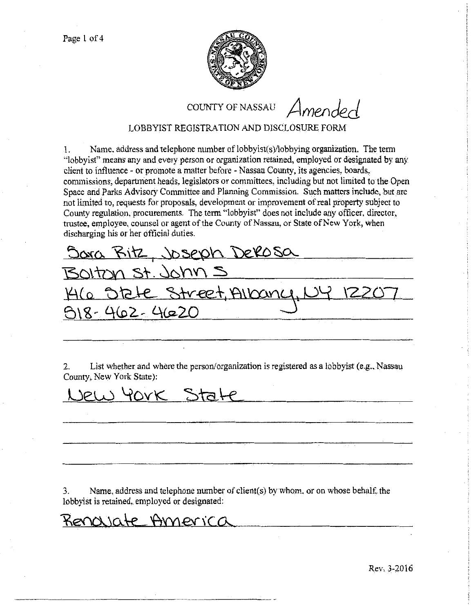

coUNTYOFNAssAu *Amended* 

LOBBYIST REGISTRATION AND DISCLOSURE FORM

1. Name, address and telephone number of lobbyist(s)/lobbying organization. The term "'lobbyist" means any and every person or organization retained, employed or designated by any client to influence - or promote a matter before - Nassau County, its agencies, boards, commissions, department heads, legislators or committees, including but not limited to the Open Space and Parks Advisory Committee and Planning Commission. Such matters include, but arc not limited to, requests for proposals, development or improvement of real property subject to County regulation. procurements. The term "lobbyist" does not include any officer. director, trustee, employee, counsel or agent of the County of Nassau, or State of New York, when discharging his or her official duties.

Sora Ritz, Joseph Delosa BOLTON St. JOHN 5  $\frac{\mu_0}{\nu_0}$  a. a. Physical Street, Albany, NY 12207 **5\<g - l\(c 2- L\CJ;2.2..0** .

2. List whether and where the person/organization is registered as a lobbyist (e.g., Nassau County, New York State):

Jew York State

3. Name. address and telephone number of client(s) by whom. or on whose behalf. the lobbyist is retained, employed or designated:

Renovate America

------------~-- ------··--------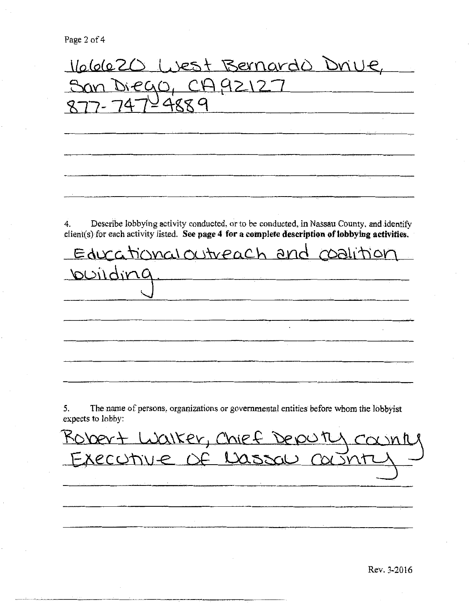<u>166620 West Bernardo Drive</u> <u>San Diego, CA92127</u> 4. Describe lobbying activity conducted, or to be conducted, in Nassau County, and identify dient(s) for each activity listed. See **page 4 for a complete description of lobbying activities.**   $E$ durational outveach and coalition posiding 5. The name of persons, organizations or governmental entities before whom the lobbyist expects to lobby: Robert Walker, Chief Deputy county Executive Of Lassau courni

Rev. 3-2016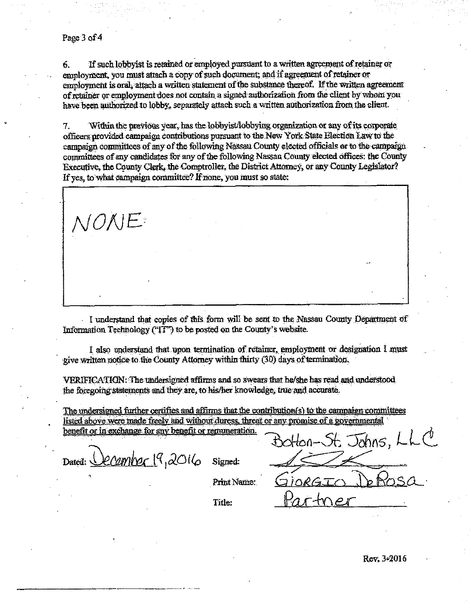NONE

If such lobbyist is retained or employed pursuant to a written agreement of retainer or 6. employment, you must attach a copy of such document; and if agreement of retainer or employment is oral, altach a written statement of the substance thereof. If the written agreement of retainer or employment does not contain a signed authorization from the client by whom you have been authorized to lobby, separately attach such a written authorization from the client.

Within the previous year, has the lobby ist/lobbying organization or any of its corporate  $7.$ officers provided campaign contributions pursuant to the New York State Election Law to the campaign committees of any of the following Nassau County elected officials or to the campaign committees of any candidates for any of the following Nassau County elected offices: the County Executive, the County Clerk, the Comptroller, the District Attorney, or any County Legislator? If yes, to what campaign committee? If none, you must so state:

I understand that copies of this form will be sent to the Nassau County Department of Information Technology ("IT") to be posted on the County's website.

I also understand that upon termination of retainer, employment or designation I must give written notice to the County Attorney within thirty (30) days of termination.

VERIFICATION: The undersigned affirms and so swears that he/she has read and understood the foregoing statements and they are, to his/her knowledge, true and accurate.

The undersigned further certifies and affirms that the contribution(s) to the campaign committees listed above were made freely and without duress, threat or any promise of a governmental benefit or in exchange for any benefit or remuneration.

Dated: December  $19,2016$ 

Signed:

Print Name:

Title:

olton-St. Johns, LLC trie

Rev. 3-2016